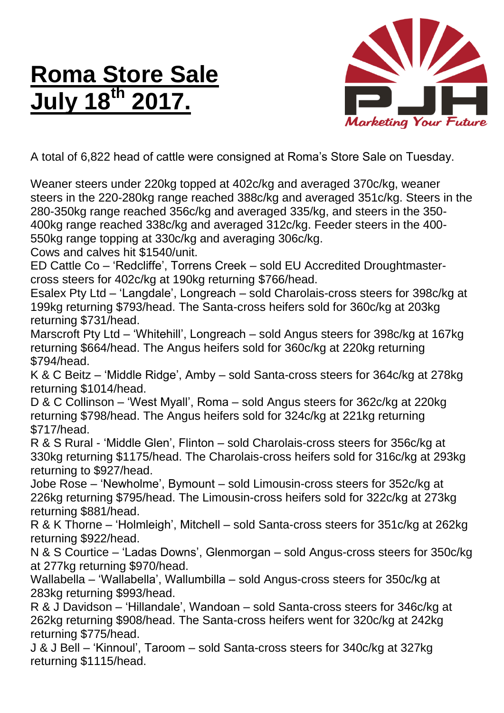## **Roma Store Sale July 18 th 2017.**



A total of 6,822 head of cattle were consigned at Roma's Store Sale on Tuesday.

Weaner steers under 220kg topped at 402c/kg and averaged 370c/kg, weaner steers in the 220-280kg range reached 388c/kg and averaged 351c/kg. Steers in the 280-350kg range reached 356c/kg and averaged 335/kg, and steers in the 350- 400kg range reached 338c/kg and averaged 312c/kg. Feeder steers in the 400- 550kg range topping at 330c/kg and averaging 306c/kg.

Cows and calves hit \$1540/unit.

ED Cattle Co – 'Redcliffe', Torrens Creek – sold EU Accredited Droughtmastercross steers for 402c/kg at 190kg returning \$766/head.

Esalex Pty Ltd – 'Langdale', Longreach – sold Charolais-cross steers for 398c/kg at 199kg returning \$793/head. The Santa-cross heifers sold for 360c/kg at 203kg returning \$731/head.

Marscroft Pty Ltd – 'Whitehill', Longreach – sold Angus steers for 398c/kg at 167kg returning \$664/head. The Angus heifers sold for 360c/kg at 220kg returning \$794/head.

K & C Beitz – 'Middle Ridge', Amby – sold Santa-cross steers for 364c/kg at 278kg returning \$1014/head.

D & C Collinson – 'West Myall', Roma – sold Angus steers for 362c/kg at 220kg returning \$798/head. The Angus heifers sold for 324c/kg at 221kg returning \$717/head.

R & S Rural - 'Middle Glen', Flinton – sold Charolais-cross steers for 356c/kg at 330kg returning \$1175/head. The Charolais-cross heifers sold for 316c/kg at 293kg returning to \$927/head.

Jobe Rose – 'Newholme', Bymount – sold Limousin-cross steers for 352c/kg at 226kg returning \$795/head. The Limousin-cross heifers sold for 322c/kg at 273kg returning \$881/head.

R & K Thorne – 'Holmleigh', Mitchell – sold Santa-cross steers for 351c/kg at 262kg returning \$922/head.

N & S Courtice – 'Ladas Downs', Glenmorgan – sold Angus-cross steers for 350c/kg at 277kg returning \$970/head.

Wallabella – 'Wallabella', Wallumbilla – sold Angus-cross steers for 350c/kg at 283kg returning \$993/head.

R & J Davidson – 'Hillandale', Wandoan – sold Santa-cross steers for 346c/kg at 262kg returning \$908/head. The Santa-cross heifers went for 320c/kg at 242kg returning \$775/head.

J & J Bell – 'Kinnoul', Taroom – sold Santa-cross steers for 340c/kg at 327kg returning \$1115/head.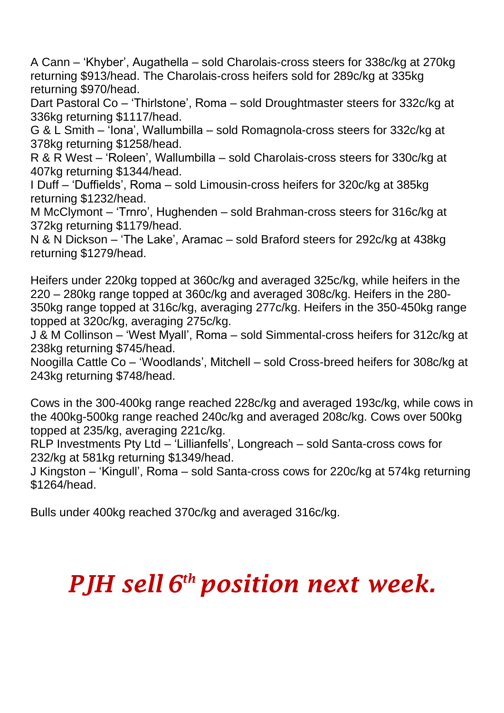A Cann – 'Khyber', Augathella – sold Charolais-cross steers for 338c/kg at 270kg returning \$913/head. The Charolais-cross heifers sold for 289c/kg at 335kg returning \$970/head.

Dart Pastoral Co – 'Thirlstone', Roma – sold Droughtmaster steers for 332c/kg at 336kg returning \$1117/head.

G & L Smith – 'Iona', Wallumbilla – sold Romagnola-cross steers for 332c/kg at 378kg returning \$1258/head.

R & R West – 'Roleen', Wallumbilla – sold Charolais-cross steers for 330c/kg at 407kg returning \$1344/head.

I Duff – 'Duffields', Roma – sold Limousin-cross heifers for 320c/kg at 385kg returning \$1232/head.

M McClymont – 'Trnro', Hughenden – sold Brahman-cross steers for 316c/kg at 372kg returning \$1179/head.

N & N Dickson – 'The Lake', Aramac – sold Braford steers for 292c/kg at 438kg returning \$1279/head.

Heifers under 220kg topped at 360c/kg and averaged 325c/kg, while heifers in the 220 – 280kg range topped at 360c/kg and averaged 308c/kg. Heifers in the 280- 350kg range topped at 316c/kg, averaging 277c/kg. Heifers in the 350-450kg range topped at 320c/kg, averaging 275c/kg.

J & M Collinson – 'West Myall', Roma – sold Simmental-cross heifers for 312c/kg at 238kg returning \$745/head.

Noogilla Cattle Co – 'Woodlands', Mitchell – sold Cross-breed heifers for 308c/kg at 243kg returning \$748/head.

Cows in the 300-400kg range reached 228c/kg and averaged 193c/kg, while cows in the 400kg-500kg range reached 240c/kg and averaged 208c/kg. Cows over 500kg topped at 235/kg, averaging 221c/kg.

RLP Investments Pty Ltd – 'Lillianfells', Longreach – sold Santa-cross cows for 232/kg at 581kg returning \$1349/head.

J Kingston – 'Kingull', Roma – sold Santa-cross cows for 220c/kg at 574kg returning \$1264/head.

Bulls under 400kg reached 370c/kg and averaged 316c/kg.

## *PJH sell 6 th position next week.*